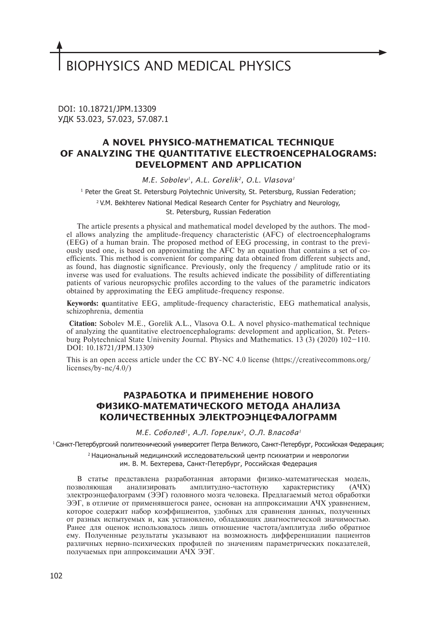# BIOPHYSICS AND MEDICAL PHYSICS

DOI: 10.18721/JPM.13309 УДК 53.023, 57.023, 57.087.1

## **A NOVEL PHYSICO-MATHEMATICAL TECHNIQUE OF ANALYZING THE QUANTITATIVE ELECTROENCEPHALOGRAMS: DEVELOPMENT AND APPLICATION**

*M.E. Sobolev1, A.L. Gorelik2, O.L. Vlasova1*

1 Peter the Great St. Petersburg Polytechnic University, St. Petersburg, Russian Federation;

<sup>2</sup> V.M. Bekhterev National Medical Research Center for Psychiatry and Neurology,

St. Petersburg, Russian Federation

The article presents a physical and mathematical model developed by the authors. The model allows analyzing the amplitude-frequency characteristic (AFC) of electroencephalograms (EEG) of a human brain. The proposed method of EEG processing, in contrast to the previously used one, is based on approximating the AFC by an equation that contains a set of coefficients. This method is convenient for comparing data obtained from different subjects and, as found, has diagnostic significance. Previously, only the frequency / amplitude ratio or its inverse was used for evaluations. The results achieved indicate the possibility of differentiating patients of various neuropsychic profiles according to the values of the parametric indicators obtained by approximating the EEG amplitude-frequency response.

**Keywords: q**uantitative EEG, amplitude-frequency characteristic, EEG mathematical analysis, schizophrenia, dementia

 **Citation:** Sobolev M.E., Gorelik A.L., Vlasova O.L. A novel physico-mathematical technique of analyzing the quantitative electroencephalograms: development and application, St. Petersburg Polytechnical State University Journal. Physics and Mathematics. 13 (3) (2020) 102–110. DOI: 10.18721/JPM.13309

This is an open access article under the CC BY-NC 4.0 license (https://creativecommons.org/ licenses/by-nc/4.0/)

## **РАЗРАБОТКА И ПРИМЕНЕНИЕ НОВОГО ФИЗИКО-МАТЕМАТИЧЕСКОГО МЕТОДА АНАЛИЗА КОЛИЧЕСТВЕННЫХ ЭЛЕКТРОЭНЦЕФАЛОГРАММ**

*М.Е. Соболев1, А.Л. Горелик2, О.Л. Власова1*

<sup>1</sup>Санкт-Петербургский политехнический университет Петра Великого, Санкт-Петербург, Российская Федерация;

<sup>2</sup>Национальный медицинский исследовательский центр психиатрии и неврологии им. В. М. Бехтерева, Санкт-Петербург, Российская Федерация

В статье представлена разработанная авторами физико-математическая модель, позволяющая анализировать амплитудно-частотную характеристику (АЧХ) электроэнцефалограмм (ЭЭГ) головного мозга человека. Предлагаемый метод обработки ЭЭГ, в отличие от применявшегося ранее, основан на аппроксимации АЧХ уравнением, которое содержит набор коэффициентов, удобных для сравнения данных, полученных от разных испытуемых и, как установлено, обладающих диагностической значимостью. Ранее для оценок использовалось лишь отношение частота/амплитуда либо обратное ему. Полученные результаты указывают на возможность дифференциации пациентов различных нервно-психических профилей по значениям параметрических показателей, получаемых при аппроксимации АЧХ ЭЭГ.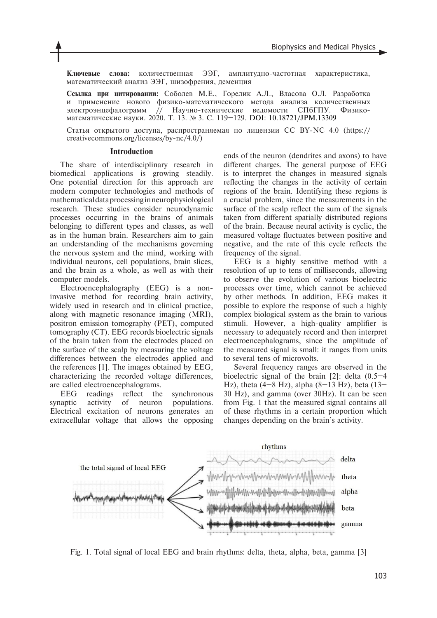**Ключевые слова:** количественная ЭЭГ, амплитудно-частотная характеристика, математический анализ ЭЭГ, шизофрения, деменция

**Ссылка при цитировании:** Соболев М.Е., Горелик А.Л., Власова О.Л. Разработка и применение нового физико-математического метода анализа количественных электроэнцефалограмм // Научно-технические ведомости СПбГПУ. Физикоматематические науки. 2020. Т. 13. № 3. С. 119–129. DOI: 10.18721/JPM.13309

Статья открытого доступа, распространяемая по лицензии CC BY-NC 4.0 (https:// creativecommons.org/licenses/by-nc/4.0/)

#### **Introduction**

The share of interdisciplinary research in biomedical applications is growing steadily. One potential direction for this approach are modern computer technologies and methods of mathematical data processing in neurophysiological research. These studies consider neurodynamic processes occurring in the brains of animals belonging to different types and classes, as well as in the human brain. Researchers aim to gain an understanding of the mechanisms governing the nervous system and the mind, working with individual neurons, cell populations, brain slices, and the brain as a whole, as well as with their computer models.

Electroencephalography (EEG) is a noninvasive method for recording brain activity, widely used in research and in clinical practice, along with magnetic resonance imaging (MRI), positron emission tomography (PET), computed tomography (CT). EEG records bioelectric signals of the brain taken from the electrodes placed on the surface of the scalp by measuring the voltage differences between the electrodes applied and the references [1]. The images obtained by EEG, characterizing the recorded voltage differences, are called electroencephalograms.

EEG readings reflect the synchronous synaptic activity of neuron populations. Electrical excitation of neurons generates an extracellular voltage that allows the opposing

ends of the neuron (dendrites and axons) to have different charges. The general purpose of EEG is to interpret the changes in measured signals reflecting the changes in the activity of certain regions of the brain. Identifying these regions is a crucial problem, since the measurements in the surface of the scalp reflect the sum of the signals taken from different spatially distributed regions of the brain. Because neural activity is cyclic, the measured voltage fluctuates between positive and negative, and the rate of this cycle reflects the frequency of the signal.

EEG is a highly sensitive method with a resolution of up to tens of milliseconds, allowing to observe the evolution of various bioelectric processes over time, which cannot be achieved by other methods. In addition, EEG makes it possible to explore the response of such a highly complex biological system as the brain to various stimuli. However, a high-quality amplifier is necessary to adequately record and then interpret electroencephalograms, since the amplitude of the measured signal is small: it ranges from units to several tens of microvolts.

Several frequency ranges are observed in the bioelectric signal of the brain [2]: delta (0.5–4 Hz), theta (4–8 Hz), alpha (8–13 Hz), beta (13– 30 Hz), and gamma (over 30Hz). It can be seen from Fig. 1 that the measured signal contains all of these rhythms in a certain proportion which changes depending on the brain's activity.



Fig. 1. Total signal of local EEG and brain rhythms: delta, theta, alpha, beta, gamma [3]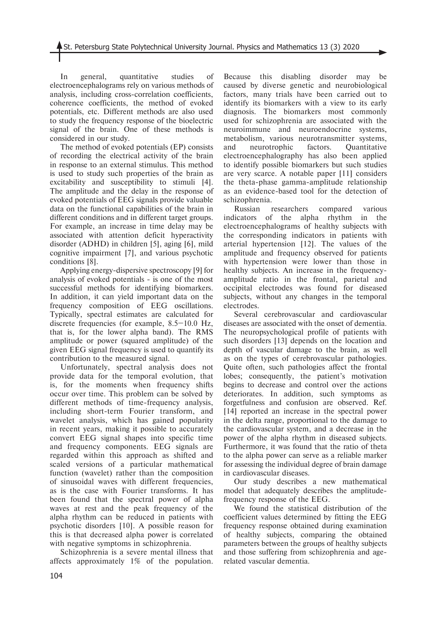In general, quantitative studies of electroencephalograms rely on various methods of analysis, including cross-correlation coefficients, coherence coefficients, the method of evoked potentials, etc. Different methods are also used to study the frequency response of the bioelectric signal of the brain. One of these methods is considered in our study.

The method of evoked potentials (EP) consists of recording the electrical activity of the brain in response to an external stimulus. This method is used to study such properties of the brain as excitability and susceptibility to stimuli [4]. The amplitude and the delay in the response of evoked potentials of EEG signals provide valuable data on the functional capabilities of the brain in different conditions and in different target groups. For example, an increase in time delay may be associated with attention deficit hyperactivity disorder (ADHD) in children [5], aging [6], mild cognitive impairment [7], and various psychotic conditions [8].

Applying energy-dispersive spectroscopy [9] for analysis of evoked potentials - is one of the most successful methods for identifying biomarkers. In addition, it can yield important data on the frequency composition of EEG oscillations. Typically, spectral estimates are calculated for discrete frequencies (for example, 8.5–10.0 Hz, that is, for the lower alpha band). The RMS amplitude or power (squared amplitude) of the given EEG signal frequency is used to quantify its contribution to the measured signal.

Unfortunately, spectral analysis does not provide data for the temporal evolution, that is, for the moments when frequency shifts occur over time. This problem can be solved by different methods of time-frequency analysis, including short-term Fourier transform, and wavelet analysis, which has gained popularity in recent years, making it possible to accurately convert EEG signal shapes into specific time and frequency components. EEG signals are regarded within this approach as shifted and scaled versions of a particular mathematical function (wavelet) rather than the composition of sinusoidal waves with different frequencies, as is the case with Fourier transforms. It has been found that the spectral power of alpha waves at rest and the peak frequency of the alpha rhythm can be reduced in patients with psychotic disorders [10]. A possible reason for this is that decreased alpha power is correlated with negative symptoms in schizophrenia.

Schizophrenia is a severe mental illness that affects approximately 1% of the population.

Because this disabling disorder may be caused by diverse genetic and neurobiological factors, many trials have been carried out to identify its biomarkers with a view to its early diagnosis. The biomarkers most commonly used for schizophrenia are associated with the neuroimmune and neuroendocrine systems, metabolism, various neurotransmitter systems, and neurotrophic factors. Quantitative electroencephalography has also been applied to identify possible biomarkers but such studies are very scarce. A notable paper [11] considers the theta-phase gamma-amplitude relationship as an evidence-based tool for the detection of schizophrenia.

Russian researchers compared various indicators of the alpha rhythm in the electroencephalograms of healthy subjects with the corresponding indicators in patients with arterial hypertension [12]. The values of the amplitude and frequency observed for patients with hypertension were lower than those in healthy subjects. An increase in the frequencyamplitude ratio in the frontal, parietal and occipital electrodes was found for diseased subjects, without any changes in the temporal electrodes.

Several cerebrovascular and cardiovascular diseases are associated with the onset of dementia. The neuropsychological profile of patients with such disorders [13] depends on the location and depth of vascular damage to the brain, as well as on the types of cerebrovascular pathologies. Quite often, such pathologies affect the frontal lobes; consequently, the patient's motivation begins to decrease and control over the actions deteriorates. In addition, such symptoms as forgetfulness and confusion are observed. Ref. [14] reported an increase in the spectral power in the delta range, proportional to the damage to the cardiovascular system, and a decrease in the power of the alpha rhythm in diseased subjects. Furthermore, it was found that the ratio of theta to the alpha power can serve as a reliable marker for assessing the individual degree of brain damage in cardiovascular diseases.

Our study describes a new mathematical model that adequately describes the amplitudefrequency response of the EEG.

We found the statistical distribution of the coefficient values determined by fitting the EEG frequency response obtained during examination of healthy subjects, comparing the obtained parameters between the groups of healthy subjects and those suffering from schizophrenia and agerelated vascular dementia.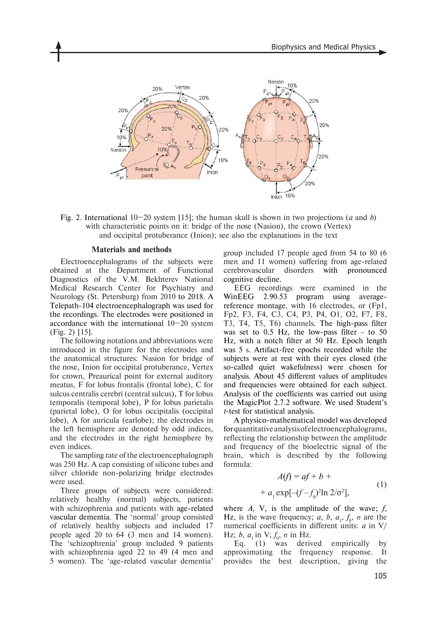

Fig. 2. International 10–20 system [15]; the human skull is shown in two projections (*a* and *b*) with characteristic points on it: bridge of the nose (Nasion), the crown (Vertex) and occipital protuberance (Inion); see also the explanations in the text

#### **Materials and methods**

Electroencephalograms of the subjects were obtained at the Department of Functional Diagnostics of the V.M. Bekhterev National Medical Research Center for Psychiatry and Neurology (St. Petersburg) from 2010 to 2018. A Telepath-104 electroencephalograph was used for the recordings. The electrodes were positioned in accordance with the international 10–20 system (Fig. 2) [15].

The following notations and abbreviations were introduced in the figure for the electrodes and the anatomical structures: Nasion for bridge of the nose, Inion for occipital protuberance, Vertex for crown, Preaurical point for external auditory meatus, F for lobus frontalis (frontal lobe), C for sulcus centralis cerebri (central sulcus), T for lobus temporalis (temporal lobe), P for lobus parietalis (parietal lobe), O for lobus occipitalis (occipital lobe), A for auricula (earlobe); the electrodes in the left hemisphere are denoted by odd indices, and the electrodes in the right hemisphere by even indices.

The sampling rate of the electroencephalograph was 250 Hz. A cap consisting of silicone tubes and silver chloride non-polarizing bridge electrodes were used.

Three groups of subjects were considered: relatively healthy (normal) subjects, patients with schizophrenia and patients with age-related vascular dementia. The 'normal' group consisted of relatively healthy subjects and included 17 people aged 20 to 64 (3 men and 14 women). The 'schizophrenia' group included 9 patients with schizophrenia aged 22 to 49 (4 men and 5 women). The 'age-related vascular dementia'

group included 17 people aged from 54 to 80 (6 men and 11 women) suffering from age-related cerebrovascular disorders with pronounced cognitive decline.

EEG recordings were examined in the WinEEG 2.90.53 program using averagereference montage, with 16 electrodes, or (Fp1, Fp2, F3, F4, C3, C4, P3, P4, O1, O2, F7, F8, T3, T4, T5, T6) channels. The high-pass filter was set to 0.5 Hz, the low-pass filter - to 50 Hz, with a notch filter at 50 Hz. Epoch length was 5 s. Artifact-free epochs recorded while the subjects were at rest with their eyes closed (the so-called quiet wakefulness) were chosen for analysis. About 45 different values of amplitudes and frequencies were obtained for each subject. Analysis of the coefficients was carried out using the MagicPlot 2.7.2 software. We used Student's *t*-test for statistical analysis.

A physico-mathematical model was developed for quantitative analysis of electroencephalograms, reflecting the relationship between the amplitude and frequency of the bioelectric signal of the brain, which is described by the following formula:

$$
A(f) = af + b ++ a1 exp[-(f-f0)2ln 2/\sigma2],
$$
 (1)

where *A*, V, is the amplitude of the wave; *f*, Hz, is the wave frequency; *a*, *b*,  $a_1$ ,  $f_0$ ,  $\sigma$  are the numerical coefficients in different units: *a* in V/ Hz; *b*,  $a_1$  in V;  $f_0$ , σ in Hz.

Eq. (1) was derived empirically by approximating the frequency response. It provides the best description, giving the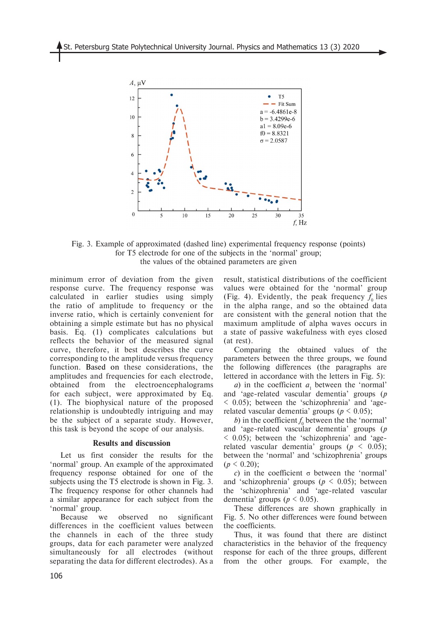

Fig. 3. Example of approximated (dashed line) experimental frequency response (points) for T5 electrode for one of the subjects in the 'normal' group; the values of the obtained parameters are given

minimum error of deviation from the given response curve. The frequency response was calculated in earlier studies using simply the ratio of amplitude to frequency or the inverse ratio, which is certainly convenient for obtaining a simple estimate but has no physical basis. Eq. (1) complicates calculations but reflects the behavior of the measured signal curve, therefore, it best describes the curve corresponding to the amplitude versus frequency function. Based on these considerations, the amplitudes and frequencies for each electrode, obtained from the electroencephalograms for each subject, were approximated by Eq. (1). The biophysical nature of the proposed relationship is undoubtedly intriguing and may be the subject of a separate study. However, this task is beyond the scope of our analysis.

#### **Results and discussion**

Let us first consider the results for the 'normal' group. An example of the approximated frequency response obtained for one of the subjects using the T5 electrode is shown in Fig. 3. The frequency response for other channels had a similar appearance for each subject from the 'normal' group.

Because we observed no significant differences in the coefficient values between the channels in each of the three study groups, data for each parameter were analyzed simultaneously for all electrodes (without separating the data for different electrodes). As a

result, statistical distributions of the coefficient values were obtained for the 'normal' group (Fig. 4). Evidently, the peak frequency  $f_0$  lies in the alpha range, and so the obtained data are consistent with the general notion that the maximum amplitude of alpha waves occurs in a state of passive wakefulness with eyes closed (at rest).

Comparing the obtained values of the parameters between the three groups, we found the following differences (the paragraphs are lettered in accordance with the letters in Fig. 5):

*a*) in the coefficient  $a_1$  between the 'normal' and 'age-related vascular dementia' groups (*p* < 0.05); between the 'schizophrenia' and 'agerelated vascular dementia' groups ( $p \leq 0.05$ );

*b*) in the coefficient  $f_0$  between the the 'normal' and 'age-related vascular dementia' groups (*p* < 0.05); between the 'schizophrenia' and 'agerelated vascular dementia' groups ( $p \leq 0.05$ ); between the 'normal' and 'schizophrenia' groups  $(p < 0.20)$ ;

*c*) in the coefficient σ between the 'normal' and 'schizophrenia' groups (*p* < 0.05); between the 'schizophrenia' and 'age-related vascular dementia' groups ( $p \le 0.05$ ).

These differences are shown graphically in Fig. 5. No other differences were found between the coefficients.

Thus, it was found that there are distinct characteristics in the behavior of the frequency response for each of the three groups, different from the other groups. For example, the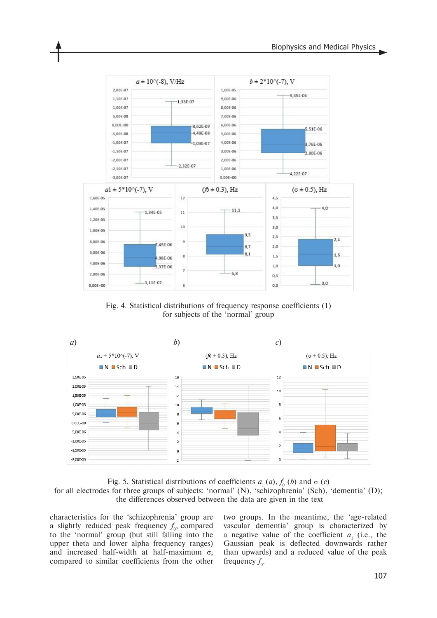

Fig. 4. Statistical distributions of frequency response coefficients (1) for subjects of the 'normal' group



Fig. 5. Statistical distributions of coefficients  $a_1(a)$ ,  $f_0(b)$  and  $\sigma(c)$ for all electrodes for three groups of subjects: 'normal' (N), 'schizophrenia' (Sch), 'dementia' (D); the differences observed between the data are given in the text

characteristics for the 'schizophrenia' group are a slightly reduced peak frequency  $f_0$ , compared to the 'normal' group (but still falling into the upper theta and lower alpha frequency ranges) and increased half-width at half-maximum σ, compared to similar coefficients from the other

two groups. In the meantime, the 'age-related vascular dementia' group is characterized by a negative value of the coefficient  $a_1$  (i.e., the Gaussian peak is deflected downwards rather than upwards) and a reduced value of the peak frequency  $f_0$ .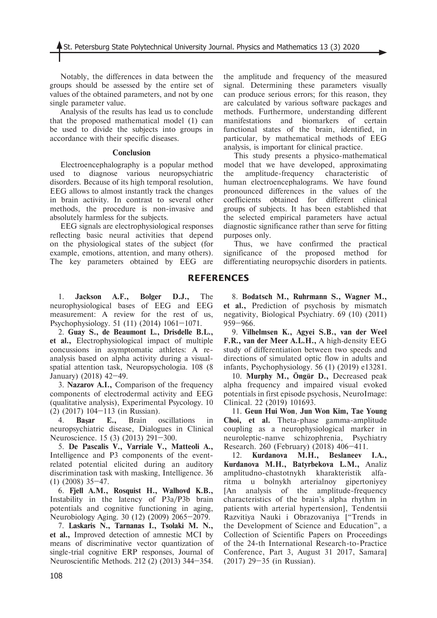Notably, the differences in data between the groups should be assessed by the entire set of values of the obtained parameters, and not by one single parameter value.

Analysis of the results has lead us to conclude that the proposed mathematical model (1) can be used to divide the subjects into groups in accordance with their specific diseases.

#### **Conclusion**

Electroencephalography is a popular method used to diagnose various neuropsychiatric disorders. Because of its high temporal resolution, EEG allows to almost instantly track the changes in brain activity. In contrast to several other methods, the procedure is non-invasive and absolutely harmless for the subjects.

EEG signals are electrophysiological responses reflecting basic neural activities that depend on the physiological states of the subject (for example, emotions, attention, and many others). The key parameters obtained by EEG are

1. **Jackson A.F., Bolger D.J.,** The neurophysiological bases of EEG and EEG measurement: A review for the rest of us,

Psychophysiology. 51 (11) (2014) 1061–1071. 2. **Guay S., de Beaumont L., Drisdelle B.L., et al.,** Electrophysiological impact of multiple concussions in asymptomatic athletes: A re-

analysis based on alpha activity during a visualspatial attention task, Neuropsychologia. 108 (8 January) (2018) 42–49.

3. **Nazarov A.I.,** Comparison of the frequency components of electrodermal activity and EEG (qualitative analysis), Experimental Psycology. 10 (2) (2017) 104–113 (in Russian).

4. **Başar E.,** Brain oscillations in neuropsychiatric disease, Dialogues in Clinical Neuroscience. 15 (3) (2013) 291–300.

5. **De Pascalis V., Varriale V., Matteoli A.,** Intelligence and P3 components of the eventrelated potential elicited during an auditory discrimination task with masking, Intelligence. 36 (1) (2008) 35–47.

6. **Fjell A.M., Rosquist H., Walhovd K.B.,** Instability in the latency of P3a/P3b brain potentials and cognitive functioning in aging, Neurobiology Aging. 30 (12) (2009) 2065–2079.

7. **Laskaris N., Tarnanas I., Tsolaki M. N., et al.,** Improved detection of amnestic MCI by means of discriminative vector quantization of single-trial cognitive ERP responses, Journal of Neuroscientific Methods. 212 (2) (2013) 344–354. the amplitude and frequency of the measured signal. Determining these parameters visually can produce serious errors; for this reason, they are calculated by various software packages and methods. Furthermore, understanding different manifestations and biomarkers of certain functional states of the brain, identified, in particular, by mathematical methods of EEG analysis, is important for clinical practice.

This study presents a physico-mathematical model that we have developed, approximating the amplitude-frequency characteristic of human electroencephalograms. We have found pronounced differences in the values of the coefficients obtained for different clinical groups of subjects. It has been established that the selected empirical parameters have actual diagnostic significance rather than serve for fitting purposes only.

Thus, we have confirmed the practical significance of the proposed method for differentiating neuropsychic disorders in patients.

## **REFERENCES**

8. **Bodatsch M., Ruhrmann S., Wagner M., et al.,** Prediction of psychosis by mismatch negativity, Biological Psychiatry. 69 (10) (2011) 959–966.

9. **Vilhelmsen K., Agyei S.B., van der Weel F.R., van der Meer A.L.H.,** A high‐density EEG study of differentiation between two speeds and directions of simulated optic flow in adults and infants, Psychophysiology. 56 (1) (2019) е13281.

10. **Murphy M., Öngür D.,** Decreased peak alpha frequency and impaired visual evoked potentials in first episode psychosis, NeuroImage: Clinical. 22 (2019) 101693.

11. **Geun Hui Won**, **Jun Won Kim, Tae Young Choi, et al.** Theta-phase gamma-amplitude coupling as a neurophysiological marker in neuroleptic-nanve schizophrenia, Psychiatry Research. 260 (February) (2018) 406–411.

12. **Kurdanova M.H., Beslaneev I.A., Kurdanova M.H., Batyrbekova L.M.,** Analiz amplitudno-chastotnykh kharakteristik alfaritma u bolnykh arterialnoy gipertoniyey [An analysis of the amplitude-frequency characteristics of the brain's alpha rhythm in patients with arterial hypertension], Tendentsii Razvitiya Nauki i Obrazovaniya ["Trends in the Development of Science and Education", a Collection of Scientific Papers on Proceedings of the 24-th International Research-to-Practice Conference, Part 3, August 31 2017, Samara] (2017) 29–35 (in Russian).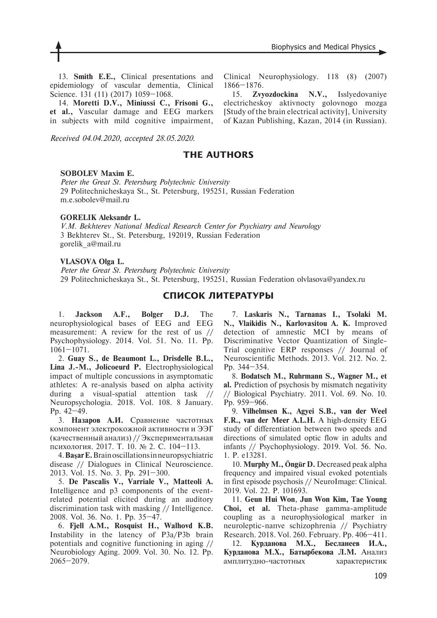13. **Smith E.E.,** Clinical presentations and epidemiology of vascular dementia, Clinical Science. 131 (11) (2017) 1059-1068.

14. **Moretti D.V., Miniussi C., Frisoni G., et al.,** Vascular damage and EEG markers in subjects with mild cognitive impairment,

*Received 04.04.2020, accepted 28.05.2020.*

Clinical Neurophysiology. 118 (8) (2007) 1866–1876.

15. **Zvyozdockina N.V.,** Isslyedovaniye electricheskoy aktivnocty golovnogo mozga [Study of the brain electrical activity], University of Kazan Publishing, Kazan, 2014 (in Russian).

# **THE AUTHORS**

#### **SOBOLEV Maxim E.**

*Peter the Great St. Petersburg Polytechnic University* 29 Politechnicheskaya St., St. Petersburg, 195251, Russian Federation m.e.sobolev@mail.ru

### **GORELIK Aleksandr L.**

*V.M. Bekhterev National Medical Research Center for Psychiatry and Neurology* 3 Bekhterev St., St. Petersburg, 192019, Russian Federation gorelik\_a@mail.ru

### **VLASOVA Olga L.**

*Peter the Great St. Petersburg Polytechnic University* 29 Politechnicheskaya St., St. Petersburg, 195251, Russian Federation olvlasova@yandex.ru

# **СПИСОК ЛИТЕРАТУРЫ**

1. **Jackson A.F., Bolger D.J.** The neurophysiological bases of EEG and EEG measurement: A review for the rest of us // Psychophysiology. 2014. Vol. 51. No. 11. Pp. 1061–1071.

2. **Guay S., de Beaumont L., Drisdelle B.L., Lina J.-M., Jolicoeurd P.** Electrophysiological impact of multiple concussions in asymptomatic athletes: A re-analysis based on alpha activity during a visual-spatial attention task // Neuropsychologia. 2018. Vol. 108. 8 January. Рp. 42–49.

3. **Назаров А.И.** Сравнение частотных компонент электрокожной активности и ЭЭГ (качественный анализ) // Экспериментальная психология. 2017. Т. 10. № 2. С. 104–113.

4. **Başar E.** Brain oscillations in neuropsychiatric disease // Dialogues in Clinical Neuroscience. 2013. Vol. 15. No. 3. Рp. 291–300.

5. **De Pascalis V., Varriale V., Matteoli A.** Intelligence and p3 components of the eventrelated potential elicited during an auditory discrimination task with masking // Intelligence. 2008. Vol. 36. No. 1. Рp. 35–47.

6. **Fjell A.M., Rosquist H., Walhovd K.B.** Instability in the latency of P3a/P3b brain potentials and cognitive functioning in aging // Neurobiology Aging. 2009. Vol. 30. No. 12. Рp. 2065–2079.

7. **Laskaris N., Tarnanas I., Tsolaki M. N., Vlaikidis N., Karlovasitou A. K.** Improved detection of amnestic MCI by means of Discriminative Vector Quantization of Single-Trial cognitive ERP responses // Journal of Neuroscientific Methods. 2013. Vol. 212. No. 2. Рp. 344–354.

8. **Bodatsch M., Ruhrmann S., Wagner M., et al.** Prediction of psychosis by mismatch negativity // Biological Psychiatry. 2011. Vol. 69. No. 10. Рp. 959–966.

9. **Vilhelmsen K., Agyei S.B., van der Weel F.R., van der Meer A.L.H.** A high‐density EEG study of differentiation between two speeds and directions of simulated optic flow in adults and infants // Psychophysiology. 2019. Vol. 56. No. 1. P. е13281.

10. **Murphy M., Öngür D.** Decreased peak alpha frequency and impaired visual evoked potentials in first episode psychosis // NeuroImage: Clinical. 2019. Vol. 22. P. 101693.

11. **Geun Hui Won**, **Jun Won Kim, Tae Young Choi, et al.** Theta-phase gamma-amplitude coupling as a neurophysiological marker in neuroleptic-nanve schizophrenia // Psychiatry Research. 2018. Vol. 260. February. Рp. 406–411.

12. **Курданова М.Х., Бесланеев И.А., Курданова М.Х., Батырбекова Л.М.** Анализ амплитудно-частотных характеристик